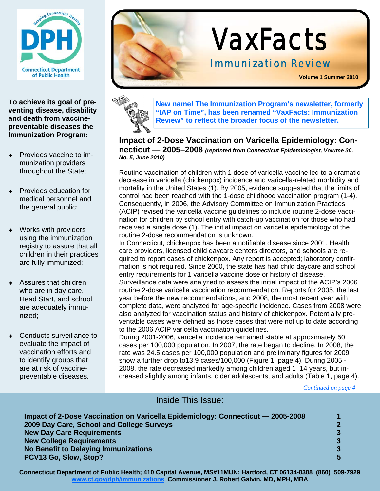

**To achieve its goal of preventing disease, disability and death from vaccinepreventable diseases the Immunization Program:** 

- Provides vaccine to immunization providers throughout the State;
- Provides education for medical personnel and the general public;
- Works with providers using the immunization registry to assure that all children in their practices are fully immunized;
- $\triangleleft$  Assures that children who are in day care, Head Start, and school are adequately immunized;
- Conducts surveillance to evaluate the impact of vaccination efforts and to identify groups that are at risk of vaccinepreventable diseases.





**New name! The Immunization Program's newsletter, formerly "IAP on Time", has been renamed "VaxFacts: Immunization Review" to reflect the broader focus of the newsletter.** 

#### **Impact of 2-Dose Vaccination on Varicella Epidemiology: Connecticut — 2005–2008** *(reprinted from Connecticut Epidemiologist, Volume 30, No. 5, June 2010)*

Routine vaccination of children with 1 dose of varicella vaccine led to a dramatic decrease in varicella (chickenpox) incidence and varicella-related morbidity and mortality in the United States (1). By 2005, evidence suggested that the limits of control had been reached with the 1-dose childhood vaccination program (1-4). Consequently, in 2006, the Advisory Committee on Immunization Practices (ACIP) revised the varicella vaccine guidelines to include routine 2-dose vaccination for children by school entry with catch-up vaccination for those who had received a single dose (1). The initial impact on varicella epidemiology of the routine 2-dose recommendation is unknown.

In Connecticut, chickenpox has been a notifiable disease since 2001. Health care providers, licensed child daycare centers directors, and schools are required to report cases of chickenpox. Any report is accepted; laboratory confirmation is not required. Since 2000, the state has had child daycare and school entry requirements for 1 varicella vaccine dose or history of disease. Surveillance data were analyzed to assess the initial impact of the ACIP's 2006 routine 2-dose varicella vaccination recommendation. Reports for 2005, the last year before the new recommendations, and 2008, the most recent year with complete data, were analyzed for age-specific incidence. Cases from 2008 were also analyzed for vaccination status and history of chickenpox. Potentially preventable cases were defined as those cases that were not up to date according to the 2006 ACIP varicella vaccination guidelines.

During 2001-2006, varicella incidence remained stable at approximately 50 cases per 100,000 population. In 2007, the rate began to decline. In 2008, the rate was 24.5 cases per 100,000 population and preliminary figures for 2009 show a further drop to13.9 cases/100,000 (Figure 1, page 4). During 2005 - 2008, the rate decreased markedly among children aged 1–14 years, but increased slightly among infants, older adolescents, and adults (Table 1, page 4).

*Continued on page 4* 

### Inside This Issue:

| <b>New Day Care Requirements</b>     |                                                                                                                              |
|--------------------------------------|------------------------------------------------------------------------------------------------------------------------------|
| <b>New College Requirements</b>      |                                                                                                                              |
| No Benefit to Delaying Immunizations |                                                                                                                              |
| PCV13 Go, Slow, Stop?                |                                                                                                                              |
|                                      | Impact of 2-Dose Vaccination on Varicella Epidemiology: Connecticut - 2005-2008<br>2009 Day Care, School and College Surveys |

**Connecticut Department of Public Health; 410 Capital Avenue, MS#11MUN; Hartford, CT 06134-0308 (860) 509-7929 www.ct.gov/dph/immunizations Commissioner J. Robert Galvin, MD, MPH, MBA**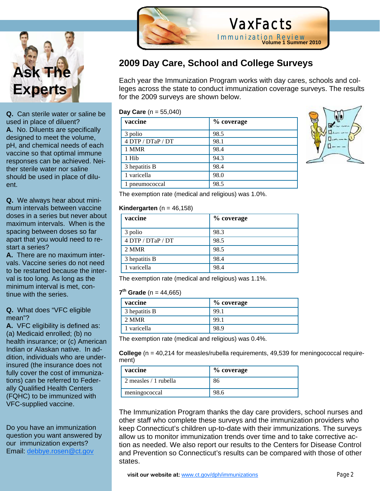

**Q.** Can sterile water or saline be used in place of diluent? **A.** No. Diluents are specifically designed to meet the volume, pH, and chemical needs of each vaccine so that optimal immune responses can be achieved. Neither sterile water nor saline should be used in place of diluent.

**Q.** We always hear about minimum intervals between vaccine doses in a series but never about maximum intervals. When is the spacing between doses so far apart that you would need to restart a series?

**A.** There are no maximum intervals. Vaccine series do not need to be restarted because the interval is too long. As long as the minimum interval is met, continue with the series.

#### **Q.** What does "VFC eligible mean"?

**A.** VFC eligibility is defined as: (a) Medicaid enrolled; (b) no health insurance; or (c) American Indian or Alaskan native. In addition, individuals who are underinsured (the insurance does not fully cover the cost of immunizations) can be referred to Federally Qualified Health Centers (FQHC) to be immunized with VFC-supplied vaccine.

Do you have an immunization question you want answered by our immunization experts? Email: debbye.rosen@ct.gov



## **2009 Day Care, School and College Surveys**

Each year the Immunization Program works with day cares, schools and colleges across the state to conduct immunization coverage surveys. The results for the 2009 surveys are shown below.

VaxFacts

Immunization Review

**Volume 1 Summer 2010**

**Day Care** (n = 55,040)

l

| vaccine           | % coverage |
|-------------------|------------|
| 3 polio           | 98.5       |
| 4 DTP / DTaP / DT | 98.1       |
| 1 MMR             | 98.4       |
| 1 Hib             | 94.3       |
| 3 hepatitis B     | 98.4       |
| 1 varicella       | 98.0       |
| 1 pneumococcal    | 98.5       |



The exemption rate (medical and religious) was 1.0%.

#### **Kindergarten** ( $n = 46,158$ )

| vaccine           | % coverage |
|-------------------|------------|
| 3 polio           | 98.3       |
| 4 DTP / DTaP / DT | 98.5       |
| 2 MMR             | 98.5       |
| 3 hepatitis B     | 98.4       |
| 1 varicella       | 98.4       |

The exemption rate (medical and religious) was 1.1%.

#### **7<sup>th</sup> Grade** (n = 44,665)

| % coverage |
|------------|
|            |
|            |
|            |
|            |

The exemption rate (medical and religious) was 0.4%.

**College** (n = 40,214 for measles/rubella requirements, 49,539 for meningococcal requirement)

| vaccine                  | % coverage |
|--------------------------|------------|
| $2$ measles $/1$ rubella | 86         |
| meningococcal            | 98.6       |

The Immunization Program thanks the day care providers, school nurses and other staff who complete these surveys and the immunization providers who keep Connecticut's children up-to-date with their immunizations. The surveys allow us to monitor immunization trends over time and to take corrective action as needed. We also report our results to the Centers for Disease Control and Prevention so Connecticut's results can be compared with those of other states.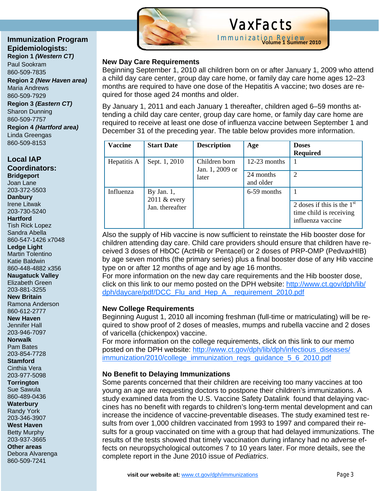#### **Immunization Program Epidemiologists: Region 1** *(Western CT)*

Paul Sookram 860-509-7835

**Region 2** *(New Haven area)*  Maria Andrews 860-509-7929 **Region 3** *(Eastern CT)* Sharon Dunning 860-509-7757 **Region 4** *(Hartford area)*

Linda Greengas 860-509-8153

#### **Local IAP Coordinators: Bridgeport**  Joan Lane

203-372-5503 **Danbury** 

Irene Litwak

203-730-5240

**Hartford** 

Tish Rick Lopez Sandra Abella

860-547-1426 x7048

**Ledge Light** 

Martin Tolentino

Katie Baldwin 860-448-4882 x356

**Naugatuck Valley** 

Elizabeth Green

203-881-3255 **New Britain** 

Ramona Anderson

860-612-2777

**New Haven**  Jennifer Hall

203-946-7097

**Norwalk** 

Pam Bates

203-854-7728 **Stamford** 

Cinthia Vera

203-977-5098

**Torrington**  Sue Sawula

860-489-0436

**Waterbury** 

Randy York 203-346-3907

**West Haven** 

Betty Murphy 203-937-3665

**Other areas**  Debora Alvarenga 860-509-7241



## VaxFacts

Immunization Review **Volume 1 Summer 2010**

### **New Day Care Requirements**

Ĩ

Beginning September 1, 2010 all children born on or after January 1, 2009 who attend a child day care center, group day care home, or family day care home ages 12–23 months are required to have one dose of the Hepatitis A vaccine; two doses are required for those aged 24 months and older.

By January 1, 2011 and each January 1 thereafter, children aged 6–59 months attending a child day care center, group day care home, or family day care home are required to receive at least one dose of influenza vaccine between September 1 and December 31 of the preceding year. The table below provides more information.

| <b>Vaccine</b> | <b>Start Date</b>                                | <b>Description</b>               | Age                    | <b>Doses</b><br><b>Required</b>                                              |
|----------------|--------------------------------------------------|----------------------------------|------------------------|------------------------------------------------------------------------------|
| Hepatitis A    | Sept. 1, 2010                                    | Children born<br>Jan. 1, 2009 or | $12-23$ months         |                                                                              |
|                |                                                  | later                            | 24 months<br>and older | 2                                                                            |
| Influenza      | By Jan. $1$ ,<br>2011 & every<br>Jan. thereafter |                                  | 6-59 months            | 2 doses if this is the $1st$<br>time child is receiving<br>influenza vaccine |

Also the supply of Hib vaccine is now sufficient to reinstate the Hib booster dose for children attending day care. Child care providers should ensure that children have received 3 doses of HbOC (ActHib or Pentacel) or 2 doses of PRP-OMP (PedvaxHIB) by age seven months (the primary series) plus a final booster dose of any Hib vaccine type on or after 12 months of age and by age 16 months.

For more information on the new day care requirements and the Hib booster dose, click on this link to our memo posted on the DPH website: http://www.ct.gov/dph/lib/ dph/daycare/pdf/DCC\_Flu\_and\_Hep\_A\_\_requirement\_2010.pdf

### **New College Requirements**

Beginning August 1, 2010 all incoming freshman (full-time or matriculating) will be required to show proof of 2 doses of measles, mumps and rubella vaccine and 2 doses of varicella (chickenpox) vaccine.

For more information on the college requirements, click on this link to our memo posted on the DPH website: http://www.ct.gov/dph/lib/dph/infectious\_diseases/ immunization/2010/college\_immunization\_regs\_guidance\_5\_6\_2010.pdf

## **No Benefit to Delaying Immunizations**

Some parents concerned that their children are receiving too many vaccines at too young an age are requesting doctors to postpone their children's immunizations. A study examined data from the U.S. Vaccine Safety Datalink found that delaying vaccines has no benefit with regards to children's long-term mental development and can increase the incidence of vaccine-preventable diseases. The study examined test results from over 1,000 children vaccinated from 1993 to 1997 and compared their results for a group vaccinated on time with a group that had delayed immunizations. The results of the tests showed that timely vaccination during infancy had no adverse effects on neuropsychological outcomes 7 to 10 years later. For more details, see the complete report in the June 2010 issue of *Pediatrics*.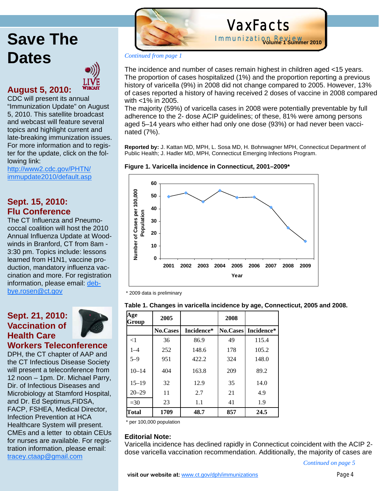# **Save The Dates**



## **August 5, 2010:**

CDC will present its annual "Immunization Update" on August 5, 2010. This satellite broadcast and webcast will feature several topics and highlight current and late-breaking immunization issues. For more information and to register for the update, click on the following link:

http://www2.cdc.gov/PHTN/ immupdate2010/default.asp

## **Sept. 15, 2010: Flu Conference**

The CT Influenza and Pneumococcal coalition will host the 2010 Annual Influenza Update at Woodwinds in Branford, CT from 8am - 3:30 pm. Topics include: lessons learned from H1N1, vaccine production, mandatory influenza vaccination and more. For registration information, please email: debbye.rosen@ct.gov

## **Sept. 21, 2010: Vaccination of Health Care**



**Workers Teleconference** 

DPH, the CT chapter of AAP and the CT Infectious Disease Society will present a teleconference from 12 noon – 1pm. Dr. Michael Parry, Dir. of Infectious Diseases and Microbiology at Stamford Hospital, and Dr. Ed Septimus,FIDSA, FACP, FSHEA, Medical Director, Infection Prevention at HCA Healthcare System will present. CMEs and a letter to obtain CEUs for nurses are available. For registration information, please email: tracey.ctaap@gmail.com



# VaxFacts

Immunization Review **Volume 1 Summer 2010**

#### *Continued from page 1*

The incidence and number of cases remain highest in children aged <15 years. The proportion of cases hospitalized (1%) and the proportion reporting a previous history of varicella (9%) in 2008 did not change compared to 2005. However, 13% of cases reported a history of having received 2 doses of vaccine in 2008 compared with <1% in 2005.

The majority (59%) of varicella cases in 2008 were potentially preventable by full adherence to the 2- dose ACIP guidelines; of these, 81% were among persons aged 5–14 years who either had only one dose (93%) or had never been vaccinated (7%).

**Reported by:** J. Kattan MD, MPH, L. Sosa MD, H. Bohnwagner MPH, Connecticut Department of Public Health; J. Hadler MD, MPH, Connecticut Emerging Infections Program.





\* 2009 data is preliminary

| Age<br>Group | 2005            |            | 2008            |            |
|--------------|-----------------|------------|-----------------|------------|
|              | <b>No.Cases</b> | Incidence* | <b>No.Cases</b> | Incidence* |
| $\leq$ 1     | 36              | 86.9       | 49              | 115.4      |
| $1 - 4$      | 252             | 148.6      | 178             | 105.2      |
| $5 - 9$      | 951             | 422.2      | 324             | 148.0      |
| $10 - 14$    | 404             | 163.8      | 209             | 89.2       |
| $15 - 19$    | 32              | 12.9       | 35              | 14.0       |
| $20 - 29$    | 11              | 2.7        | 21              | 4.9        |
| $=30$        | 23              | 1.1        | 41              | 1.9        |
| Total        | 1709            | 48.7       | 857             | 24.5       |

\* per 100,000 population

### **Editorial Note:**

Varicella incidence has declined rapidly in Connecticut coincident with the ACIP 2 dose varicella vaccination recommendation. Additionally, the majority of cases are

*Continued on page 5*